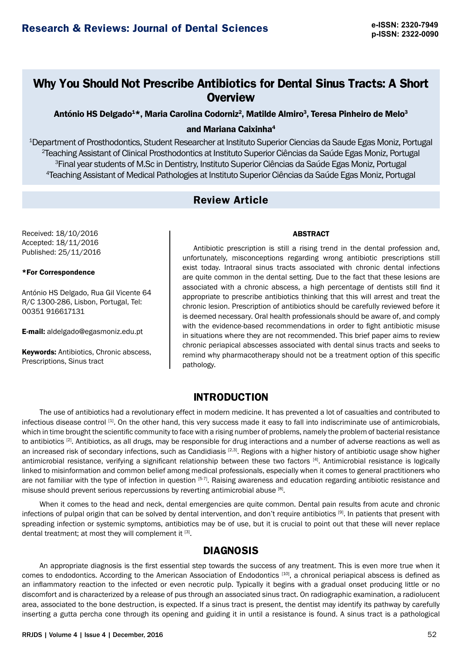# **Why You Should Not Prescribe Antibiotics for Dental Sinus Tracts: A Short Overview**

António HS Delgado $^{4\star}$ , Maria Carolina Codorniz $^{2}$ , Matilde Almiro $^{3}$ , Teresa Pinheiro de Melo $^{3}$ 

### and Mariana Caixinha4

 Department of Prosthodontics, Student Researcher at Instituto Superior Ciencias da Saude Egas Moniz, Portugal Teaching Assistant of Clinical Prosthodontics at Instituto Superior Ciências da Saúde Egas Moniz, Portugal Final year students of M.Sc in Dentistry, Instituto Superior Ciências da Saúde Egas Moniz, Portugal Teaching Assistant of Medical Pathologies at Instituto Superior Ciências da Saúde Egas Moniz, Portugal

# **Review Article**

Received: 18/10/2016 Accepted: 18/11/2016 Published: 25/11/2016

### \*For Correspondence

António HS Delgado, Rua Gil Vicente 64 R/C 1300-286, Lisbon, Portugal, Tel: 00351 916617131

E-mail: aldelgado@egasmoniz.edu.pt

Keywords: Antibiotics, Chronic abscess, Prescriptions, Sinus tract

# ABSTRACT

Antibiotic prescription is still a rising trend in the dental profession and, unfortunately, misconceptions regarding wrong antibiotic prescriptions still exist today. Intraoral sinus tracts associated with chronic dental infections are quite common in the dental setting. Due to the fact that these lesions are associated with a chronic abscess, a high percentage of dentists still find it appropriate to prescribe antibiotics thinking that this will arrest and treat the chronic lesion. Prescription of antibiotics should be carefully reviewed before it is deemed necessary. Oral health professionals should be aware of, and comply with the evidence-based recommendations in order to fight antibiotic misuse in situations where they are not recommended. This brief paper aims to review chronic periapical abscesses associated with dental sinus tracts and seeks to remind why pharmacotherapy should not be a treatment option of this specific pathology.

# **INTRODUCTION**

The use of antibiotics had a revolutionary effect in modern medicine. It has prevented a lot of casualties and contributed to infectious disease control [1]. On the other hand, this very success made it easy to fall into indiscriminate use of antimicrobials, which in time brought the scientific community to face with a rising number of problems, namely the problem of bacterial resistance to antibiotics [2]. Antibiotics, as all drugs, may be responsible for drug interactions and a number of adverse reactions as well as an increased risk of secondary infections, such as Candidiasis  $[2,3]$ . Regions with a higher history of antibiotic usage show higher antimicrobial resistance, verifying a significant relationship between these two factors [4]. Antimicrobial resistance is logically linked to misinformation and common belief among medical professionals, especially when it comes to general practitioners who are not familiar with the type of infection in question [5-7]. Raising awareness and education regarding antibiotic resistance and misuse should prevent serious repercussions by reverting antimicrobial abuse [8].

When it comes to the head and neck, dental emergencies are quite common. Dental pain results from acute and chronic infections of pulpal origin that can be solved by dental intervention, and don't require antibiotics [9]. In patients that present with spreading infection or systemic symptoms, antibiotics may be of use, but it is crucial to point out that these will never replace dental treatment; at most they will complement it [3].

# **DIAGNOSIS**

An appropriate diagnosis is the first essential step towards the success of any treatment. This is even more true when it comes to endodontics. According to the American Association of Endodontics [10], a chronical periapical abscess is defined as an inflammatory reaction to the infected or even necrotic pulp. Typically it begins with a gradual onset producing little or no discomfort and is characterized by a release of pus through an associated sinus tract. On radiographic examination, a radiolucent area, associated to the bone destruction, is expected. If a sinus tract is present, the dentist may identify its pathway by carefully inserting a gutta percha cone through its opening and guiding it in until a resistance is found. A sinus tract is a pathological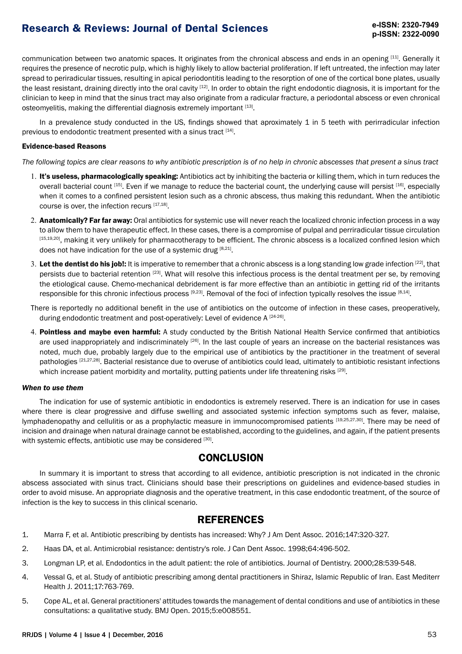# **Research & Reviews: Journal of Dental Sciences**

communication between two anatomic spaces. It originates from the chronical abscess and ends in an opening [11]. Generally it requires the presence of necrotic pulp, which is highly likely to allow bacterial proliferation. If left untreated, the infection may later spread to periradicular tissues, resulting in apical periodontitis leading to the resorption of one of the cortical bone plates, usually the least resistant, draining directly into the oral cavity [12]. In order to obtain the right endodontic diagnosis, it is important for the clinician to keep in mind that the sinus tract may also originate from a radicular fracture, a periodontal abscess or even chronical osteomyelitis, making the differential diagnosis extremely important [13].

In a prevalence study conducted in the US, findings showed that aproximately 1 in 5 teeth with perirradicular infection previous to endodontic treatment presented with a sinus tract [14].

#### Evidence-based Reasons

*The following topics are clear reasons to why antibiotic prescription is of no help in chronic abscesses that present a sinus tract*

- 1. It's useless, pharmacologically speaking: Antibiotics act by inhibiting the bacteria or killing them, which in turn reduces the overall bacterial count [15]. Even if we manage to reduce the bacterial count, the underlying cause will persist [16], especially when it comes to a confined persistent lesion such as a chronic abscess, thus making this redundant. When the antibiotic course is over, the infection recurs [17,18].
- 2. Anatomically? Far far away: Oral antibiotics for systemic use will never reach the localized chronic infection process in a way to allow them to have therapeutic effect. In these cases, there is a compromise of pulpal and perriradicular tissue circulation [15,19,20], making it very unlikely for pharmacotherapy to be efficient. The chronic abscess is a localized confined lesion which does not have indication for the use of a systemic drug [8,21].
- 3. Let the dentist do his job!: It is imperative to remember that a chronic abscess is a long standing low grade infection  $^{[22]}$ , that persists due to bacterial retention [23]. What will resolve this infectious process is the dental treatment per se, by removing the etiological cause. Chemo-mechanical debridement is far more effective than an antibiotic in getting rid of the irritants responsible for this chronic infectious process [9,23]. Removal of the foci of infection typically resolves the issue [8,14].

There is reportedly no additional benefit in the use of antibiotics on the outcome of infection in these cases, preoperatively, during endodontic treatment and post-operatively: Level of evidence A [24-26].

4. Pointless and maybe even harmful: A study conducted by the British National Health Service confirmed that antibiotics are used inappropriately and indiscriminately <sup>[26]</sup>. In the last couple of years an increase on the bacterial resistances was noted, much due, probably largely due to the empirical use of antibiotics by the practitioner in the treatment of several pathologies [21,27,28]. Bacterial resistance due to overuse of antibiotics could lead, ultimately to antibiotic resistant infections which increase patient morbidity and mortality, putting patients under life threatening risks [29].

#### *When to use them*

The indication for use of systemic antibiotic in endodontics is extremely reserved. There is an indication for use in cases where there is clear progressive and diffuse swelling and associated systemic infection symptoms such as fever, malaise, lymphadenopathy and cellulitis or as a prophylactic measure in immunocompromised patients [19,25,27,30]. There may be need of incision and drainage when natural drainage cannot be established, according to the guidelines, and again, if the patient presents with systemic effects, antibiotic use may be considered [30].

### **CONCLUSION**

In summary it is important to stress that according to all evidence, antibiotic prescription is not indicated in the chronic abscess associated with sinus tract. Clinicians should base their prescriptions on guidelines and evidence-based studies in order to avoid misuse. An appropriate diagnosis and the operative treatment, in this case endodontic treatment, of the source of infection is the key to success in this clinical scenario.

### **REFERENCES**

- 1. Marra F, et al. Antibiotic prescribing by dentists has increased: Why? J Am Dent Assoc. 2016;147:320-327.
- 2. Haas DA, et al. Antimicrobial resistance: dentistry's role. J Can Dent Assoc. 1998;64:496-502.
- 3. Longman LP, et al. Endodontics in the adult patient: the role of antibiotics. Journal of Dentistry. 2000;28:539-548.
- 4. Vessal G, et al. Study of antibiotic prescribing among dental practitioners in Shiraz, Islamic Republic of Iran. East Mediterr Health J. 2011;17:763-769.
- 5. Cope AL, et al. General practitioners' attitudes towards the management of dental conditions and use of antibiotics in these consultations: a qualitative study. BMJ Open. 2015;5:e008551.